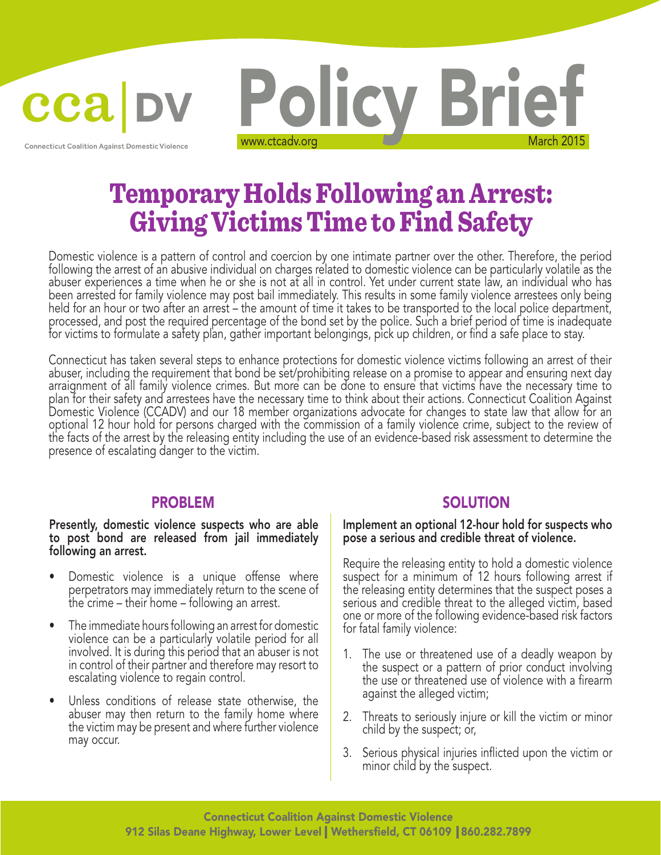cca

**Connecticut Coalition Against Domestic Violence** 



# Temporary Holds Following an Arrest: Giving Victims Time to Find Safety

Domestic violence is a pattern of control and coercion by one intimate partner over the other. Therefore, the period following the arrest of an abusive individual on charges related to domestic violence can be particularly volatile as the abuser experiences a time when he or she is not at all in control. Yet under current state law, an individual who has been arrested for family violence may post bail immediately. This results in some family violence arrestees only being held for an hour or two after an arrest – the amount of time it takes to be transported to the local police department, processed, and post the required percentage of the bond set by the police. Such a brief period of time is inadequate for victims to formulate a safety plan, gather important belongings, pick up children, or find a safe place to stay.

Connecticut has taken several steps to enhance protections for domestic violence victims following an arrest of their abuser, including the requirement that bond be set/prohibiting release on a promise to appear and ensuring next day arraignment of all family violence crimes. But more can be done to ensure that victims have the necessary time to plan for their safety and arrestees have the necessary time to think about their actions. Connecticut Coalition Against Domestic Violence (CCADV) and our 18 member organizations advocate for changes to state law that allow for an optional 12 hour hold for persons charged with the commission of a family violence crime, subject to the review of the facts of the arrest by the releasing entity including the use of an evidence-based risk assessment to determine the presence of escalating danger to the victim.

Presently, domestic violence suspects who are able to post bond are released from jail immediately following an arrest.

- Domestic violence is a unique offense where perpetrators may immediately return to the scene of the crime – their home – following an arrest.
- The immediate hours following an arrest for domestic violence can be a particularly volatile period for all involved. It is during this period that an abuser is not in control of their partner and therefore may resort to escalating violence to regain control.
- Unless conditions of release state otherwise, the abuser may then return to the family home where the victim may be present and where further violence may occur.

#### PROBLEM SOLUTION

Implement an optional 12-hour hold for suspects who pose a serious and credible threat of violence.

Require the releasing entity to hold a domestic violence suspect for a minimum of 12 hours following arrest if the releasing entity determines that the suspect poses a serious and credible threat to the alleged victim, based one or more of the following evidence-based risk factors for fatal family violence:

- 1. The use or threatened use of a deadly weapon by the suspect or a pattern of prior conduct involving the use or threatened use of violence with a firearm against the alleged victim;
- 2. Threats to seriously injure or kill the victim or minor child by the suspect; or,
- 3. Serious physical injuries inflicted upon the victim or minor child by the suspect.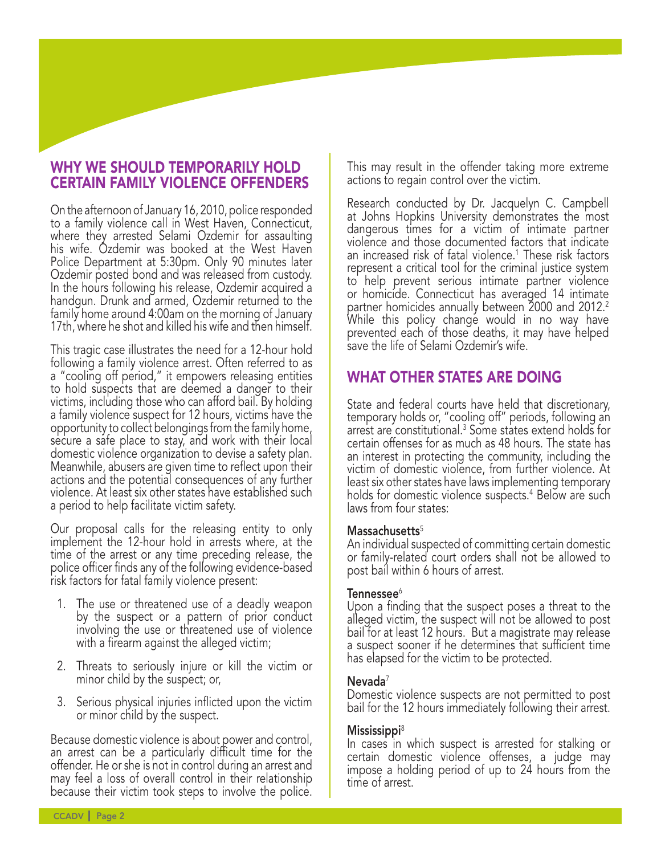## WHY WE SHOULD TEMPORARILY HOLD CERTAIN FAMILY VIOLENCE OFFENDERS

On the afternoon of January 16, 2010, police responded to a family violence call in West Haven, Connecticut, where they arrested Selami Ozdemir for assaulting his wife. Ozdemir was booked at the West Haven Police Department at 5:30pm. Only 90 minutes later Ozdemir posted bond and was released from custody. In the hours following his release, Ozdemir acquired a handgun. Drunk and armed, Ozdemir returned to the family home around 4:00am on the morning of January 17th, where he shot and killed his wife and then himself.

This tragic case illustrates the need for a 12-hour hold following a family violence arrest. Often referred to as a "cooling off period," it empowers releasing entities to hold suspects that are deemed a danger to their victims, including those who can afford bail. By holding a family violence suspect for 12 hours, victims have the opportunity to collect belongings from the family home, secure a safe place to stay, and work with their local domestic violence organization to devise a safety plan. Meanwhile, abusers are given time to reflect upon their actions and the potential consequences of any further violence. At least six other states have established such a period to help facilitate victim safety.

Our proposal calls for the releasing entity to only implement the 12-hour hold in arrests where, at the time of the arrest or any time preceding release, the police officer finds any of the following evidence-based risk factors for fatal family violence present:

- 1. The use or threatened use of a deadly weapon by the suspect or a pattern of prior conduct involving the use or threatened use of violence with a firearm against the alleged victim;
- 2. Threats to seriously injure or kill the victim or minor child by the suspect; or,
- 3. Serious physical injuries inflicted upon the victim or minor child by the suspect.

Because domestic violence is about power and control, an arrest can be a particularly difficult time for the offender. He or she is not in control during an arrest and may feel a loss of overall control in their relationship because their victim took steps to involve the police.

This may result in the offender taking more extreme actions to regain control over the victim.

Research conducted by Dr. Jacquelyn C. Campbell at Johns Hopkins University demonstrates the most dangerous times for a victim of intimate partner violence and those documented factors that indicate an increased risk of fatal violence.1 These risk factors represent a critical tool for the criminal justice system to help prevent serious intimate partner violence or homicide. Connecticut has averaged 14 intimate partner homicides annually between 2000 and 2012. $^{\text{2}}$ While this policy change would in no way have prevented each of those deaths, it may have helped save the life of Selami Ozdemir's wife.

# WHAT OTHER STATES ARE DOING

State and federal courts have held that discretionary, temporary holds or, "cooling off" periods, following an arrest are constitutional.3 Some states extend holds for certain offenses for as much as 48 hours. The state has an interest in protecting the community, including the victim of domestic violence, from further violence. At least six other states have laws implementing temporary holds for domestic violence suspects.<sup>4</sup> Below are such laws from four states:

#### $Massachusetts<sup>5</sup>$

An individual suspected of committing certain domestic or family-related court orders shall not be allowed to post bail within 6 hours of arrest.

#### Tennessee $^6$

Upon a finding that the suspect poses a threat to the alleged victim, the suspect will not be allowed to post bail for at least 12 hours. But a magistrate may release a suspect sooner if he determines that sufficient time has elapsed for the victim to be protected.

#### $N$ evada $7$

Domestic violence suspects are not permitted to post bail for the 12 hours immediately following their arrest.

#### Mississippi<sup>8</sup>

In cases in which suspect is arrested for stalking or certain domestic violence offenses, a judge may impose a holding period of up to 24 hours from the time of arrest.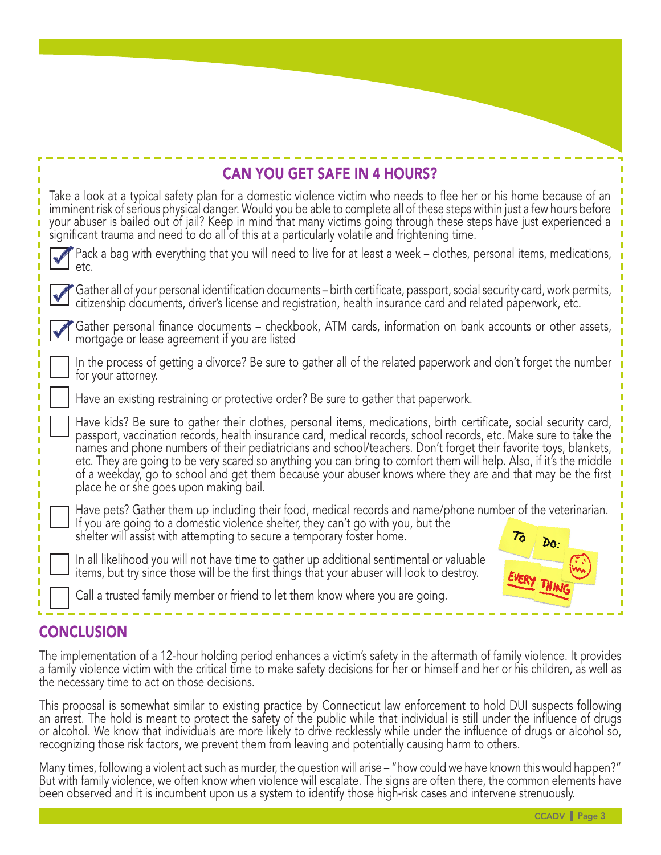# CAN YOU GET SAFE IN 4 HOURS?

Take a look at a typical safety plan for a domestic violence victim who needs to flee her or his home because of an imminent risk of serious physical danger. Would you be able to complete all of these steps within just a few hours before your abuser is bailed out of jail? Keep in mind that many victims going through these steps have just experienced a significant trauma and need to do all of this at a particularly volatile and frightening time.

| Pack a bag with everything that you will need to live for at least a week – clothes, personal items, medications, etc.                                                                                                         |
|--------------------------------------------------------------------------------------------------------------------------------------------------------------------------------------------------------------------------------|
| Gather all of your personal identification documents – birth certificate, passport, social security card, work permits, citizenship documents, driver's license and registration, health insurance card and related paperwork, |

Gather personal finance documents – checkbook, ATM cards, information on bank accounts or other assets, mortgage or lease agreement if you are listed

In the process of getting a divorce? Be sure to gather all of the related paperwork and don't forget the number for your attorney.

Have an existing restraining or protective order? Be sure to gather that paperwork.

Have kids? Be sure to gather their clothes, personal items, medications, birth certificate, social security card, passport, vaccination records, health insurance card, medical records, school records, etc. Make sure to take the names and phone numbers of their pediatricians and school/teachers. Don't forget their favorite toys, blankets, etc. They are going to be very scared so anything you can bring to comfort them will help. Also, if it's the middle of a weekday, go to school and get them because your abuser knows where they are and that may be the first place he or she goes upon making bail.

Have pets? Gather them up including their food, medical records and name/phone number of the veterinarian. If you are going to a domestic violence shelter, they can't go with you, but the

shelter will assist with attempting to secure a temporary foster home.

In all likelihood you will not have time to gather up additional sentimental or valuable items, but try since those will be the first things that your abuser will look to destroy.



Call a trusted family member or friend to let them know where you are going.

# CONCLUSION

The implementation of a 12-hour holding period enhances a victim's safety in the aftermath of family violence. It provides a family violence victim with the critical time to make safety decisions for her or himself and her or his children, as well as the necessary time to act on those decisions.

This proposal is somewhat similar to existing practice by Connecticut law enforcement to hold DUI suspects following an arrest. The hold is meant to protect the safety of the public while that individual is still under the influence of drugs or alcohol. We know that individuals are more likely to drive recklessly while under the influence of drugs or alcohol so, recognizing those risk factors, we prevent them from leaving and potentially causing harm to others.

Many times, following a violent act such as murder, the question will arise – "how could we have known this would happen?" But with family violence, we often know when violence will escalate. The signs are often there, the common elements have been observed and it is incumbent upon us a system to identify those high-risk cases and intervene strenuously.